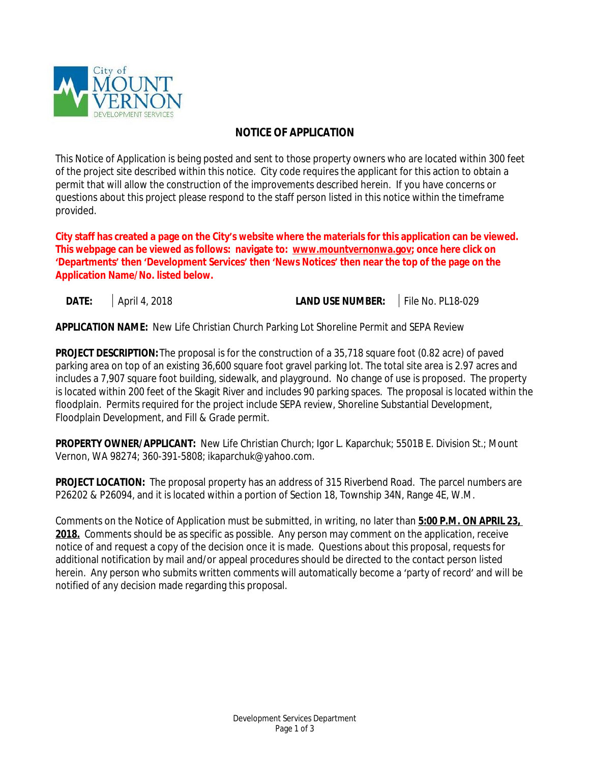

## **NOTICE OF APPLICATION**

This Notice of Application is being posted and sent to those property owners who are located within 300 feet of the project site described within this notice. City code requires the applicant for this action to obtain a permit that will allow the construction of the improvements described herein. If you have concerns or questions about this project please respond to the staff person listed in this notice within the timeframe provided.

**City staff has created a page on the City's website where the materials for this application can be viewed. This webpage can be viewed as follows: navigate to: [www.mountvernonwa.gov;](http://www.mountvernonwa.gov) once here click on 'Departments' then 'Development Services' then 'News Notices' then near the top of the page on the Application Name/No. listed below.**

| <b>DATE:</b> | April 4, 2018 | <b>LAND USE NUMBER:</b> | File No. PL18-029 |
|--------------|---------------|-------------------------|-------------------|
|--------------|---------------|-------------------------|-------------------|

**APPLICATION NAME:** New Life Christian Church Parking Lot Shoreline Permit and SEPA Review

**PROJECT DESCRIPTION:** The proposal is for the construction of a 35,718 square foot (0.82 acre) of paved parking area on top of an existing 36,600 square foot gravel parking lot. The total site area is 2.97 acres and includes a 7,907 square foot building, sidewalk, and playground. No change of use is proposed. The property is located within 200 feet of the Skagit River and includes 90 parking spaces. The proposal is located within the floodplain. Permits required for the project include SEPA review, Shoreline Substantial Development, Floodplain Development, and Fill & Grade permit.

**PROPERTY OWNER/APPLICANT:** New Life Christian Church; Igor L. Kaparchuk; 5501B E. Division St.; Mount Vernon, WA 98274; 360-391-5808; ikaparchuk@yahoo.com.

**PROJECT LOCATION:** The proposal property has an address of 315 Riverbend Road. The parcel numbers are P26202 & P26094, and it is located within a portion of Section 18, Township 34N, Range 4E, W.M.

Comments on the Notice of Application must be submitted, in writing, no later than **5:00 P.M. ON APRIL 23, 2018.** Comments should be as specific as possible. Any person may comment on the application, receive notice of and request a copy of the decision once it is made. Questions about this proposal, requests for additional notification by mail and/or appeal procedures should be directed to the contact person listed herein. Any person who submits written comments will automatically become a 'party of record' and will be notified of any decision made regarding this proposal.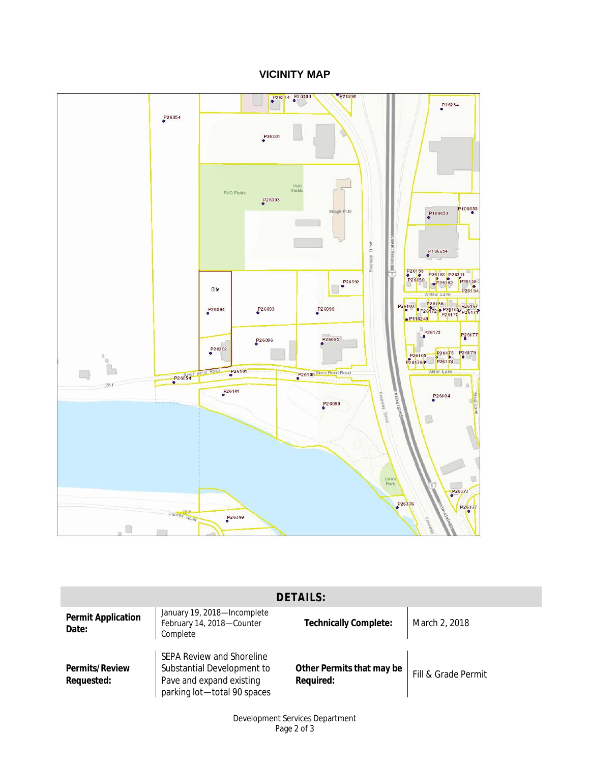## **VICINITY MAP**



| <b>DETAILS:</b>                     |                                                                                                                    |                                        |                     |  |  |  |
|-------------------------------------|--------------------------------------------------------------------------------------------------------------------|----------------------------------------|---------------------|--|--|--|
| <b>Permit Application</b><br>Date:  | January 19, 2018-Incomplete<br>February 14, 2018-Counter<br>Complete                                               | <b>Technically Complete:</b>           | March 2, 2018       |  |  |  |
| <b>Permits/Review</b><br>Requested: | SEPA Review and Shoreline<br>Substantial Development to<br>Pave and expand existing<br>parking lot-total 90 spaces | Other Permits that may be<br>Required: | Fill & Grade Permit |  |  |  |